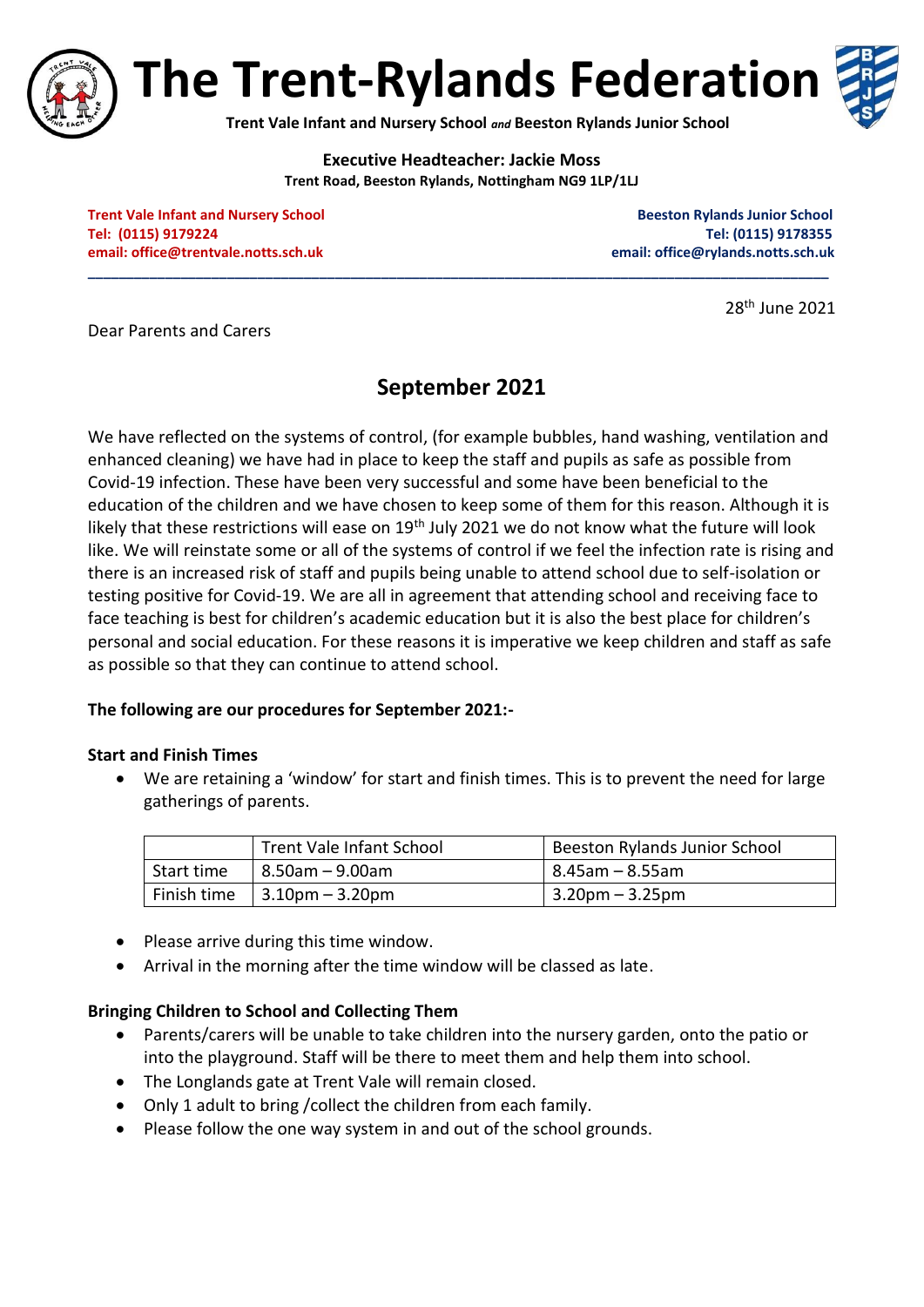

**The Trent-Rylands Federation**

**Trent Vale Infant and Nursery School** *and* **Beeston Rylands Junior School**

**Executive Headteacher: Jackie Moss Trent Road, Beeston Rylands, Nottingham NG9 1LP/1LJ**

**\_\_\_\_\_\_\_\_\_\_\_\_\_\_\_\_\_\_\_\_\_\_\_\_\_\_\_\_\_\_\_\_\_\_\_\_\_\_\_\_\_\_\_\_\_\_\_\_\_\_\_\_\_\_\_\_\_\_\_\_\_\_\_\_\_\_\_\_\_\_\_\_\_\_\_\_\_\_\_\_\_\_\_\_\_\_\_\_\_\_\_\_\_\_\_\_**

**Trent Vale Infant and Nursery School School Beeston Rylands Junior School Beeston Rylands Junior School Tel: (0115) 9179224 Tel: (0115) 9178355 email[: office@trentvale.notts.sch.uk](mailto:office@trentvale.notts.sch.uk) email: [office@rylands.notts.sch.uk](mailto:office@rylands.notts.sch.uk)**

28th June 2021

Dear Parents and Carers

# **September 2021**

We have reflected on the systems of control, (for example bubbles, hand washing, ventilation and enhanced cleaning) we have had in place to keep the staff and pupils as safe as possible from Covid-19 infection. These have been very successful and some have been beneficial to the education of the children and we have chosen to keep some of them for this reason. Although it is likely that these restrictions will ease on  $19<sup>th</sup>$  July 2021 we do not know what the future will look like. We will reinstate some or all of the systems of control if we feel the infection rate is rising and there is an increased risk of staff and pupils being unable to attend school due to self-isolation or testing positive for Covid-19. We are all in agreement that attending school and receiving face to face teaching is best for children's academic education but it is also the best place for children's personal and social education. For these reasons it is imperative we keep children and staff as safe as possible so that they can continue to attend school.

## **The following are our procedures for September 2021:-**

## **Start and Finish Times**

 We are retaining a 'window' for start and finish times. This is to prevent the need for large gatherings of parents.

|            | Trent Vale Infant School                                     | Beeston Rylands Junior School |
|------------|--------------------------------------------------------------|-------------------------------|
| Start time | l 8.50am – 9.00am                                            | ' 8.45am – 8.55am             |
|            | Finish time $\left  3.10 \text{pm} - 3.20 \text{pm} \right $ | $3.20$ pm – $3.25$ pm         |

- Please arrive during this time window.
- Arrival in the morning after the time window will be classed as late.

## **Bringing Children to School and Collecting Them**

- Parents/carers will be unable to take children into the nursery garden, onto the patio or into the playground. Staff will be there to meet them and help them into school.
- The Longlands gate at Trent Vale will remain closed.
- Only 1 adult to bring /collect the children from each family.
- Please follow the one way system in and out of the school grounds.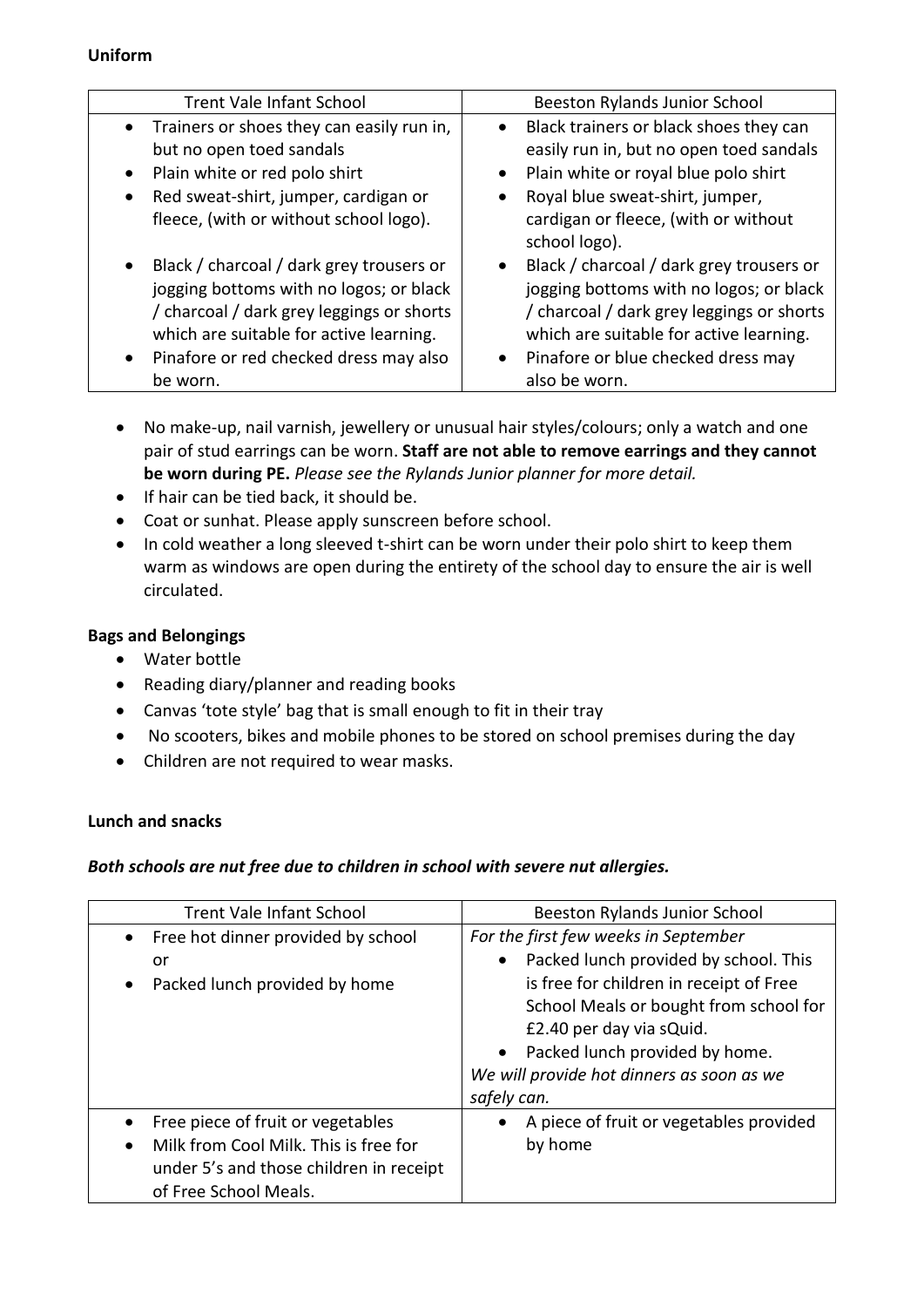## **Uniform**

| <b>Trent Vale Infant School</b>                                                                                                                                                                                                                             | Beeston Rylands Junior School                                                                                                                                                                                                      |
|-------------------------------------------------------------------------------------------------------------------------------------------------------------------------------------------------------------------------------------------------------------|------------------------------------------------------------------------------------------------------------------------------------------------------------------------------------------------------------------------------------|
| • Trainers or shoes they can easily run in,<br>but no open toed sandals<br>Plain white or red polo shirt<br>$\bullet$<br>Red sweat-shirt, jumper, cardigan or<br>$\bullet$<br>fleece, (with or without school logo).                                        | Black trainers or black shoes they can<br>easily run in, but no open toed sandals<br>Plain white or royal blue polo shirt<br>Royal blue sweat-shirt, jumper,<br>cardigan or fleece, (with or without<br>school logo).              |
| Black / charcoal / dark grey trousers or<br>$\bullet$<br>jogging bottoms with no logos; or black<br>/ charcoal / dark grey leggings or shorts<br>which are suitable for active learning.<br>Pinafore or red checked dress may also<br>$\bullet$<br>be worn. | Black / charcoal / dark grey trousers or<br>jogging bottoms with no logos; or black<br>/ charcoal / dark grey leggings or shorts<br>which are suitable for active learning.<br>Pinafore or blue checked dress may<br>also be worn. |

- No make-up, nail varnish, jewellery or unusual hair styles/colours; only a watch and one pair of stud earrings can be worn. **Staff are not able to remove earrings and they cannot be worn during PE.** *Please see the Rylands Junior planner for more detail.*
- If hair can be tied back, it should be.
- Coat or sunhat. Please apply sunscreen before school.
- In cold weather a long sleeved t-shirt can be worn under their polo shirt to keep them warm as windows are open during the entirety of the school day to ensure the air is well circulated.

## **Bags and Belongings**

- Water bottle
- Reading diary/planner and reading books
- Canvas 'tote style' bag that is small enough to fit in their tray
- No scooters, bikes and mobile phones to be stored on school premises during the day
- Children are not required to wear masks.

## **Lunch and snacks**

## *Both schools are nut free due to children in school with severe nut allergies.*

| <b>Trent Vale Infant School</b>                                                                                                                | <b>Beeston Rylands Junior School</b>                                                                                                                                                                                                                                                         |
|------------------------------------------------------------------------------------------------------------------------------------------------|----------------------------------------------------------------------------------------------------------------------------------------------------------------------------------------------------------------------------------------------------------------------------------------------|
| Free hot dinner provided by school<br>or<br>Packed lunch provided by home                                                                      | For the first few weeks in September<br>Packed lunch provided by school. This<br>$\bullet$<br>is free for children in receipt of Free<br>School Meals or bought from school for<br>£2.40 per day via sQuid.<br>• Packed lunch provided by home.<br>We will provide hot dinners as soon as we |
| Free piece of fruit or vegetables<br>Milk from Cool Milk. This is free for<br>under 5's and those children in receipt<br>of Free School Meals. | safely can.<br>A piece of fruit or vegetables provided<br>$\bullet$<br>by home                                                                                                                                                                                                               |